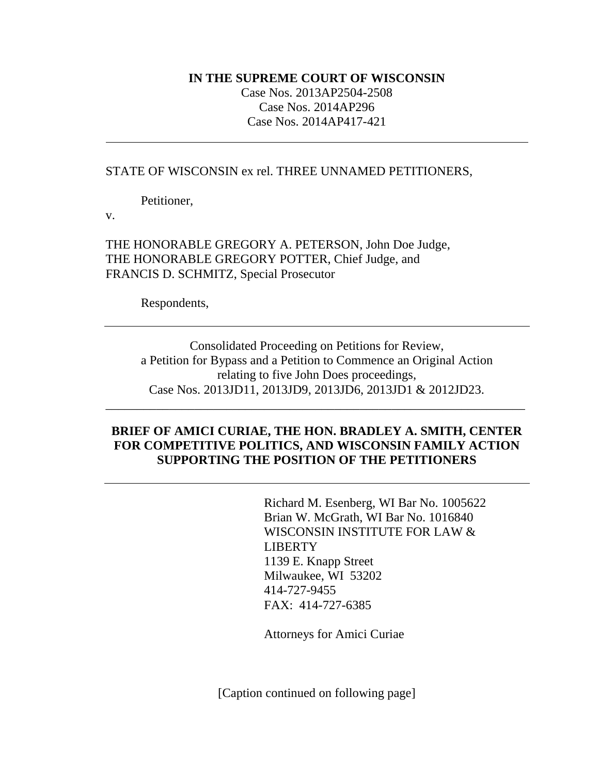#### **IN THE SUPREME COURT OF WISCONSIN**

Case Nos. 2013AP2504-2508 Case Nos. 2014AP296 Case Nos. 2014AP417-421

### STATE OF WISCONSIN ex rel. THREE UNNAMED PETITIONERS,

Petitioner,

v.

THE HONORABLE GREGORY A. PETERSON, John Doe Judge, THE HONORABLE GREGORY POTTER, Chief Judge, and FRANCIS D. SCHMITZ, Special Prosecutor

Respondents,

Consolidated Proceeding on Petitions for Review, a Petition for Bypass and a Petition to Commence an Original Action relating to five John Does proceedings, Case Nos. 2013JD11, 2013JD9, 2013JD6, 2013JD1 & 2012JD23.

### **BRIEF OF AMICI CURIAE, THE HON. BRADLEY A. SMITH, CENTER FOR COMPETITIVE POLITICS, AND WISCONSIN FAMILY ACTION SUPPORTING THE POSITION OF THE PETITIONERS**

\_\_\_\_\_\_\_\_\_\_\_\_\_\_\_\_\_\_\_\_\_\_\_\_\_\_\_\_\_\_\_\_\_\_\_\_\_\_\_\_\_\_\_\_\_\_\_\_\_\_\_\_\_\_\_\_\_\_\_\_\_\_\_\_\_\_

Richard M. Esenberg, WI Bar No. 1005622 Brian W. McGrath, WI Bar No. 1016840 WISCONSIN INSTITUTE FOR LAW & LIBERTY 1139 E. Knapp Street Milwaukee, WI 53202 414-727-9455 FAX: 414-727-6385

Attorneys for Amici Curiae

[Caption continued on following page]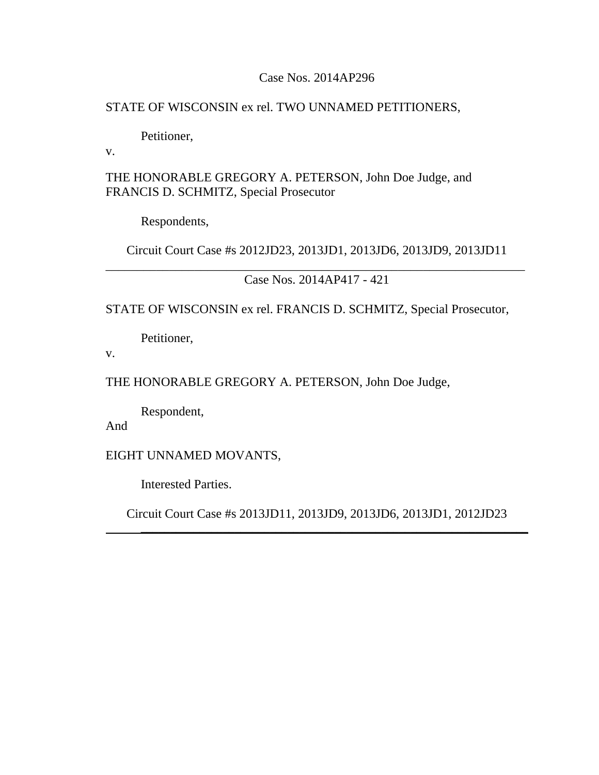### Case Nos. 2014AP296

### STATE OF WISCONSIN ex rel. TWO UNNAMED PETITIONERS,

Petitioner,

v.

THE HONORABLE GREGORY A. PETERSON, John Doe Judge, and FRANCIS D. SCHMITZ, Special Prosecutor

Respondents,

Circuit Court Case #s 2012JD23, 2013JD1, 2013JD6, 2013JD9, 2013JD11 \_\_\_\_\_\_\_\_\_\_\_\_\_\_\_\_\_\_\_\_\_\_\_\_\_\_\_\_\_\_\_\_\_\_\_\_\_\_\_\_\_\_\_\_\_\_\_\_\_\_\_\_\_\_\_\_\_\_\_\_\_\_\_\_\_\_

Case Nos. 2014AP417 - 421

STATE OF WISCONSIN ex rel. FRANCIS D. SCHMITZ, Special Prosecutor,

Petitioner,

v.

THE HONORABLE GREGORY A. PETERSON, John Doe Judge,

Respondent,

And

EIGHT UNNAMED MOVANTS,

Interested Parties.

Circuit Court Case #s 2013JD11, 2013JD9, 2013JD6, 2013JD1, 2012JD23

\_\_\_\_\_\_\_\_\_\_\_\_\_\_\_\_\_\_\_\_\_\_\_\_\_\_\_\_\_\_\_\_\_\_\_\_\_\_\_\_\_\_\_\_\_\_\_\_\_\_\_\_\_\_\_\_\_\_\_\_\_\_\_\_\_\_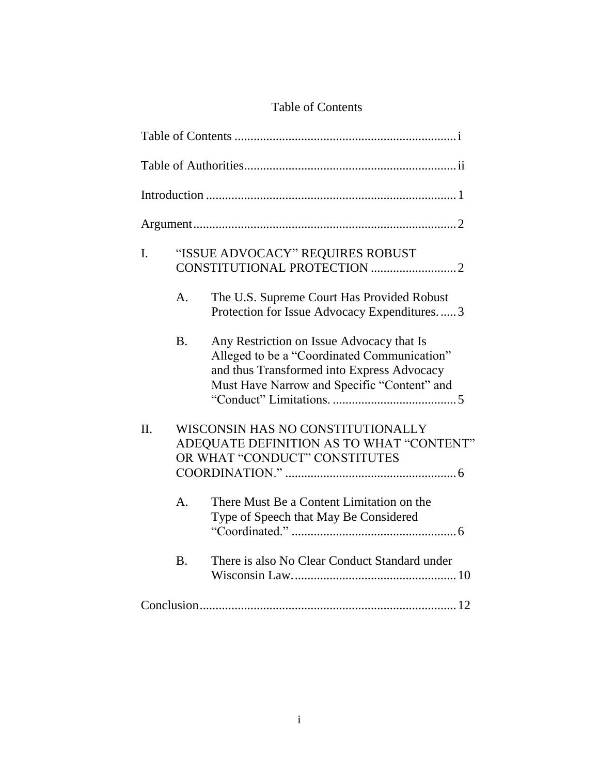# Table of Contents

| I.  |               | "ISSUE ADVOCACY" REQUIRES ROBUST                                                                                                                                                      |  |
|-----|---------------|---------------------------------------------------------------------------------------------------------------------------------------------------------------------------------------|--|
|     | A.            | The U.S. Supreme Court Has Provided Robust<br>Protection for Issue Advocacy Expenditures3                                                                                             |  |
|     | <b>B.</b>     | Any Restriction on Issue Advocacy that Is<br>Alleged to be a "Coordinated Communication"<br>and thus Transformed into Express Advocacy<br>Must Have Narrow and Specific "Content" and |  |
| II. |               | WISCONSIN HAS NO CONSTITUTIONALLY<br>ADEQUATE DEFINITION AS TO WHAT "CONTENT"<br>OR WHAT "CONDUCT" CONSTITUTES                                                                        |  |
|     | $\mathsf{A}.$ | There Must Be a Content Limitation on the<br>Type of Speech that May Be Considered                                                                                                    |  |
|     | <b>B.</b>     | There is also No Clear Conduct Standard under                                                                                                                                         |  |
|     |               |                                                                                                                                                                                       |  |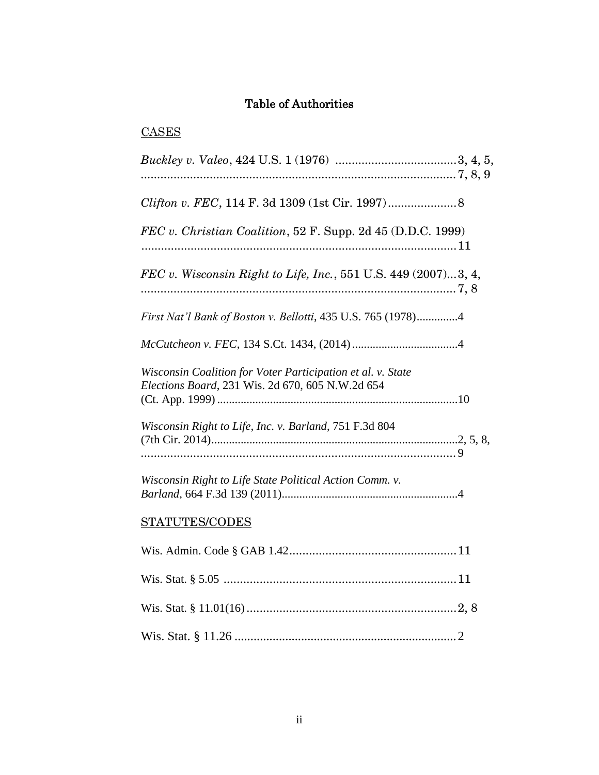# Table of Authorities

# **CASES**

| FEC v. Christian Coalition, 52 F. Supp. 2d 45 (D.D.C. 1999)                                                     |
|-----------------------------------------------------------------------------------------------------------------|
| FEC v. Wisconsin Right to Life, Inc., 551 U.S. 449 $(2007)3, 4,$                                                |
| First Nat'l Bank of Boston v. Bellotti, 435 U.S. 765 (1978)4                                                    |
|                                                                                                                 |
| Wisconsin Coalition for Voter Participation et al. v. State<br>Elections Board, 231 Wis. 2d 670, 605 N.W.2d 654 |
| Wisconsin Right to Life, Inc. v. Barland, 751 F.3d 804                                                          |
| Wisconsin Right to Life State Political Action Comm. v.                                                         |
| STATUTES/CODES                                                                                                  |
|                                                                                                                 |
|                                                                                                                 |
|                                                                                                                 |
|                                                                                                                 |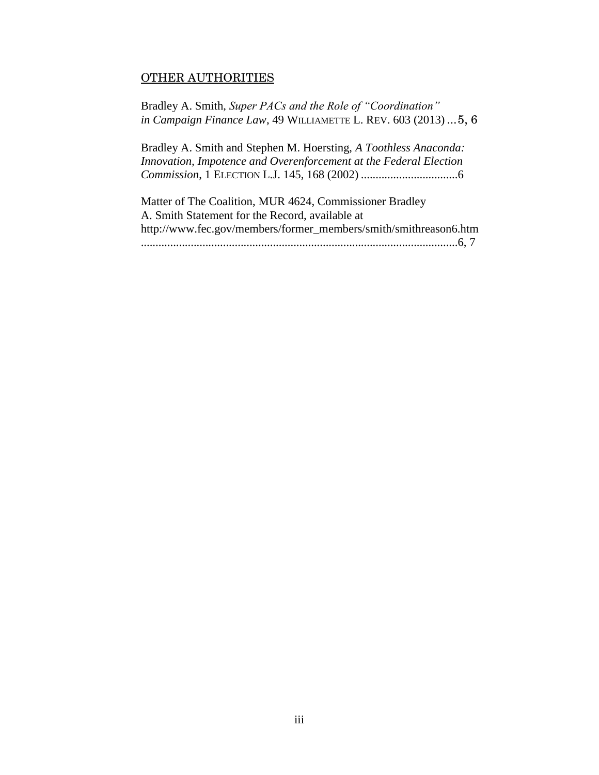### OTHER AUTHORITIES

Bradley A. Smith, *Super PACs and the Role of "Coordination" in Campaign Finance Law*, 49 WILLIAMETTE L. REV. 603 (2013) ...5, 6

Bradley A. Smith and Stephen M. Hoersting, *A Toothless Anaconda: Innovation, Impotence and Overenforcement at the Federal Election Commission*, 1 ELECTION L.J. 145, 168 (2002) .................................6

Matter of The Coalition, MUR 4624, Commissioner Bradley A. Smith Statement for the Record, available at [http://www.fec.gov/members/former\\_members/smith/smithreason6.htm](http://www.fec.gov/members/former_members/smith/smithreason6.htm) ............................................................................................................6, 7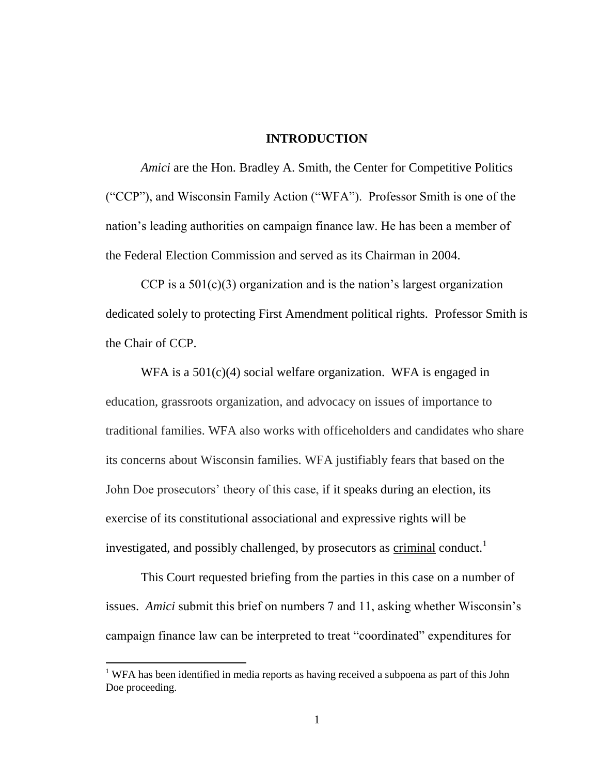#### **INTRODUCTION**

*Amici* are the Hon. Bradley A. Smith, the Center for Competitive Politics ("CCP"), and Wisconsin Family Action ("WFA"). Professor Smith is one of the nation's leading authorities on campaign finance law. He has been a member of the Federal Election Commission and served as its Chairman in 2004.

CCP is a  $501(c)(3)$  organization and is the nation's largest organization dedicated solely to protecting First Amendment political rights. Professor Smith is the Chair of CCP.

WFA is a  $501(c)(4)$  social welfare organization. WFA is engaged in education, grassroots organization, and advocacy on issues of importance to traditional families. WFA also works with officeholders and candidates who share its concerns about Wisconsin families. WFA justifiably fears that based on the John Doe prosecutors' theory of this case, if it speaks during an election, its exercise of its constitutional associational and expressive rights will be investigated, and possibly challenged, by prosecutors as criminal conduct.<sup>1</sup>

This Court requested briefing from the parties in this case on a number of issues. *Amici* submit this brief on numbers 7 and 11, asking whether Wisconsin's campaign finance law can be interpreted to treat "coordinated" expenditures for

 $\overline{a}$ 

<sup>&</sup>lt;sup>1</sup> WFA has been identified in media reports as having received a subpoena as part of this John Doe proceeding.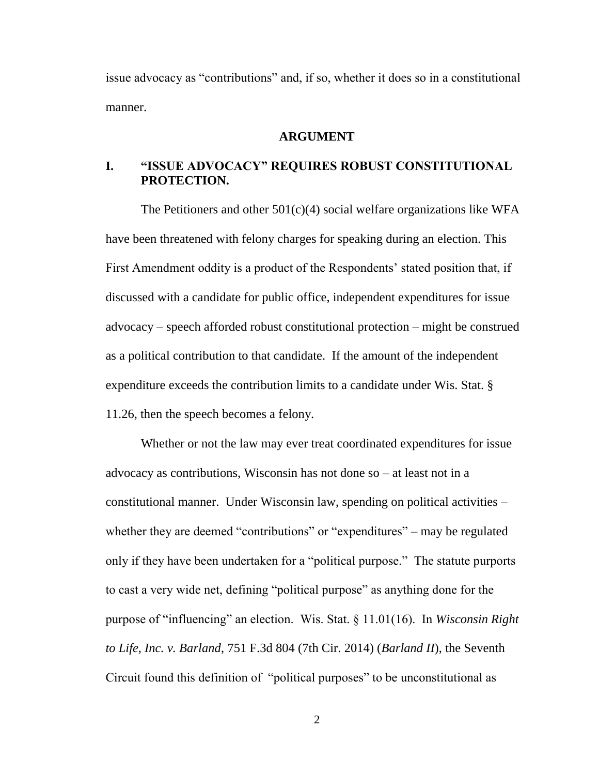issue advocacy as "contributions" and, if so, whether it does so in a constitutional manner.

#### **ARGUMENT**

### **I. "ISSUE ADVOCACY" REQUIRES ROBUST CONSTITUTIONAL PROTECTION.**

The Petitioners and other  $501(c)(4)$  social welfare organizations like WFA have been threatened with felony charges for speaking during an election. This First Amendment oddity is a product of the Respondents' stated position that, if discussed with a candidate for public office, independent expenditures for issue advocacy – speech afforded robust constitutional protection – might be construed as a political contribution to that candidate. If the amount of the independent expenditure exceeds the contribution limits to a candidate under Wis. Stat. § 11.26, then the speech becomes a felony.

Whether or not the law may ever treat coordinated expenditures for issue advocacy as contributions, Wisconsin has not done so – at least not in a constitutional manner. Under Wisconsin law, spending on political activities – whether they are deemed "contributions" or "expenditures" – may be regulated only if they have been undertaken for a "political purpose." The statute purports to cast a very wide net, defining "political purpose" as anything done for the purpose of "influencing" an election. Wis. Stat. § 11.01(16). In *Wisconsin Right to Life, Inc. v. Barland*, 751 F.3d 804 (7th Cir. 2014) (*Barland II*), the Seventh Circuit found this definition of "political purposes" to be unconstitutional as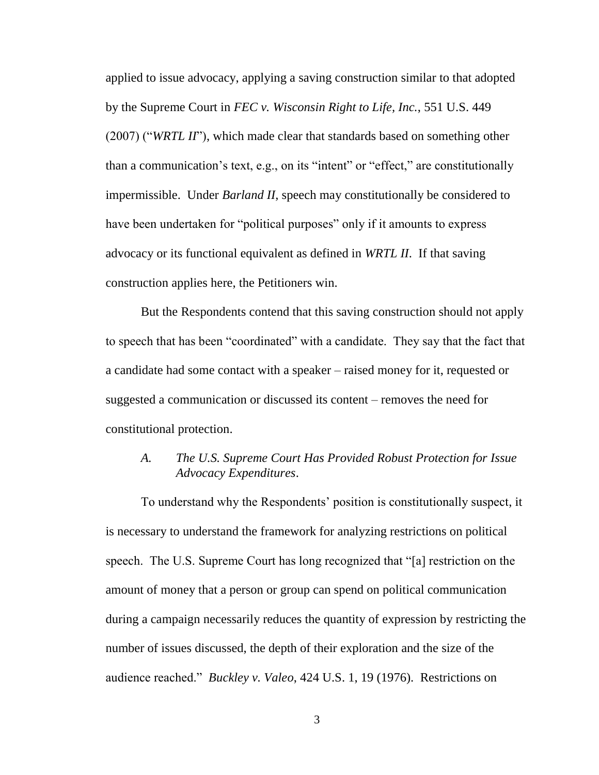applied to issue advocacy, applying a saving construction similar to that adopted by the Supreme Court in *FEC v. Wisconsin Right to Life, Inc.*, 551 U.S. 449 (2007) ("*WRTL II*"), which made clear that standards based on something other than a communication's text, e.g., on its "intent" or "effect," are constitutionally impermissible. Under *Barland II*, speech may constitutionally be considered to have been undertaken for "political purposes" only if it amounts to express advocacy or its functional equivalent as defined in *WRTL II*. If that saving construction applies here, the Petitioners win.

But the Respondents contend that this saving construction should not apply to speech that has been "coordinated" with a candidate. They say that the fact that a candidate had some contact with a speaker – raised money for it, requested or suggested a communication or discussed its content – removes the need for constitutional protection.

### *A. The U.S. Supreme Court Has Provided Robust Protection for Issue Advocacy Expenditures*.

To understand why the Respondents' position is constitutionally suspect, it is necessary to understand the framework for analyzing restrictions on political speech. The U.S. Supreme Court has long recognized that "[a] restriction on the amount of money that a person or group can spend on political communication during a campaign necessarily reduces the quantity of expression by restricting the number of issues discussed, the depth of their exploration and the size of the audience reached." *Buckley v. Valeo*, 424 U.S. 1, 19 (1976). Restrictions on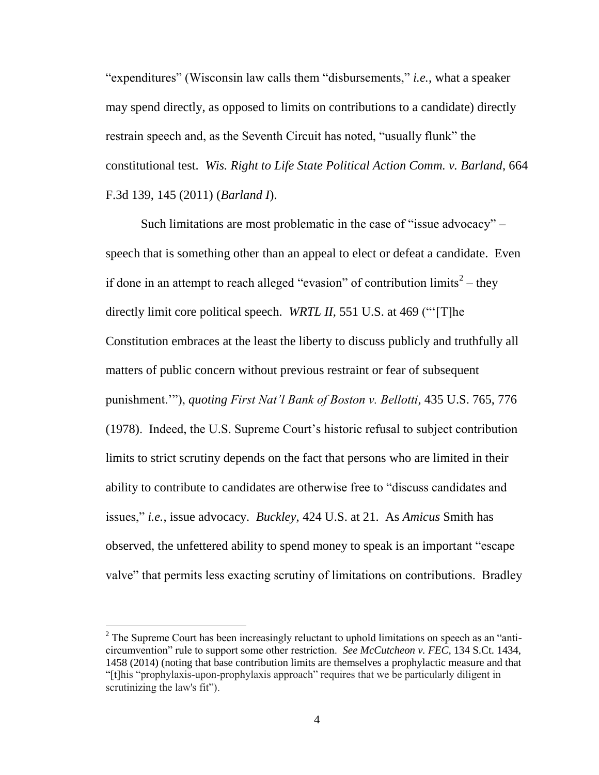"expenditures" (Wisconsin law calls them "disbursements," *i.e.*, what a speaker may spend directly, as opposed to limits on contributions to a candidate) directly restrain speech and, as the Seventh Circuit has noted, "usually flunk" the constitutional test. *Wis. Right to Life State Political Action Comm. v. Barland*, 664 F.3d 139, 145 (2011) (*Barland I*).

Such limitations are most problematic in the case of "issue advocacy" – speech that is something other than an appeal to elect or defeat a candidate. Even if done in an attempt to reach alleged "evasion" of contribution limits<sup>2</sup> – they directly limit core political speech. *WRTL II*, 551 U.S. at 469 ("'[T]he Constitution embraces at the least the liberty to discuss publicly and truthfully all matters of public concern without previous restraint or fear of subsequent punishment.'"), *quoting First Nat'l Bank of Boston v. Bellotti*, 435 U.S. 765, 776 (1978). Indeed, the U.S. Supreme Court's historic refusal to subject contribution limits to strict scrutiny depends on the fact that persons who are limited in their ability to contribute to candidates are otherwise free to "discuss candidates and issues," *i.e.*, issue advocacy. *Buckley*, 424 U.S. at 21. As *Amicus* Smith has observed, the unfettered ability to spend money to speak is an important "escape valve" that permits less exacting scrutiny of limitations on contributions. Bradley

 $\overline{a}$ 

<sup>&</sup>lt;sup>2</sup> The Supreme Court has been increasingly reluctant to uphold limitations on speech as an "anticircumvention" rule to support some other restriction. *See McCutcheon v. FEC*, 134 S.Ct. 1434, 1458 (2014) (noting that base contribution limits are themselves a prophylactic measure and that "[t]his "prophylaxis-upon-prophylaxis approach" requires that we be particularly diligent in scrutinizing the law's fit").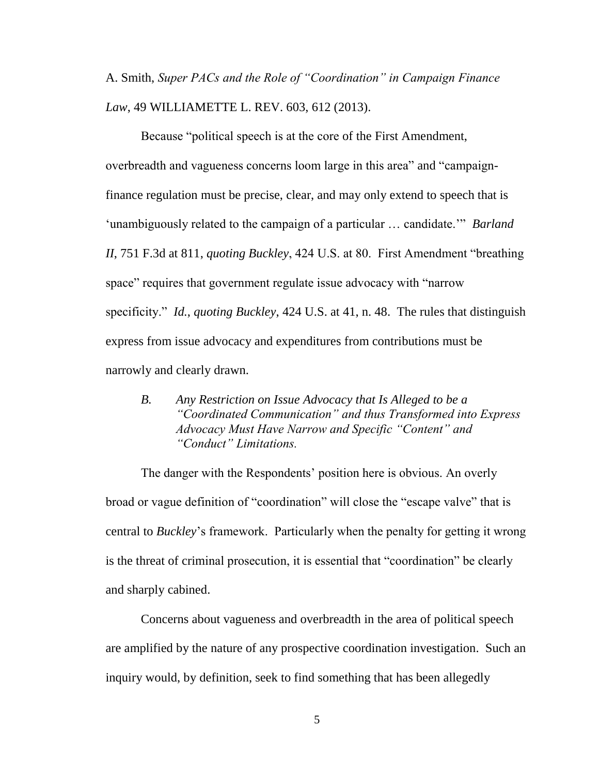A. Smith, *Super PACs and the Role of "Coordination" in Campaign Finance Law*, 49 WILLIAMETTE L. REV. 603, 612 (2013).

Because "political speech is at the core of the First Amendment, overbreadth and vagueness concerns loom large in this area" and "campaignfinance regulation must be precise, clear, and may only extend to speech that is 'unambiguously related to the campaign of a particular … candidate.'" *Barland II*, 751 F.3d at 811, *quoting Buckley*, 424 U.S. at 80. First Amendment "breathing space" requires that government regulate issue advocacy with "narrow specificity." *Id.*, *quoting Buckley*, 424 U.S. at 41, n. 48. The rules that distinguish express from issue advocacy and expenditures from contributions must be narrowly and clearly drawn.

*B. Any Restriction on Issue Advocacy that Is Alleged to be a "Coordinated Communication" and thus Transformed into Express Advocacy Must Have Narrow and Specific "Content" and "Conduct" Limitations.* 

The danger with the Respondents' position here is obvious. An overly broad or vague definition of "coordination" will close the "escape valve" that is central to *Buckley*'s framework. Particularly when the penalty for getting it wrong is the threat of criminal prosecution, it is essential that "coordination" be clearly and sharply cabined.

Concerns about vagueness and overbreadth in the area of political speech are amplified by the nature of any prospective coordination investigation. Such an inquiry would, by definition, seek to find something that has been allegedly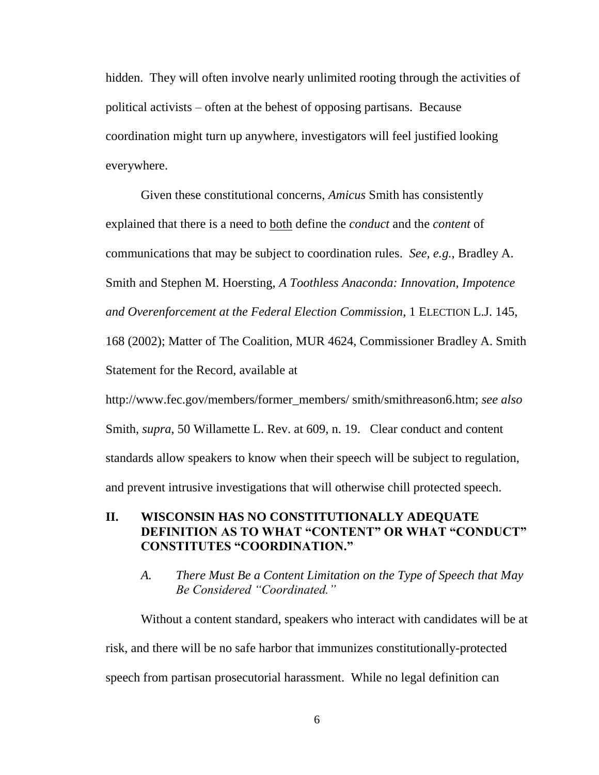hidden. They will often involve nearly unlimited rooting through the activities of political activists – often at the behest of opposing partisans. Because coordination might turn up anywhere, investigators will feel justified looking everywhere.

Given these constitutional concerns, *Amicus* Smith has consistently explained that there is a need to both define the *conduct* and the *content* of communications that may be subject to coordination rules. *See, e.g.*, Bradley A. Smith and Stephen M. Hoersting, *A Toothless Anaconda: Innovation, Impotence and Overenforcement at the Federal Election Commission*, 1 ELECTION L.J. 145, 168 (2002); Matter of The Coalition, MUR 4624, Commissioner Bradley A. Smith Statement for the Record, available at

http://www.fec.gov/members/former\_members/ smith/smithreason6.htm; *see also*  Smith, *supra*, 50 Willamette L. Rev. at 609, n. 19. Clear conduct and content standards allow speakers to know when their speech will be subject to regulation, and prevent intrusive investigations that will otherwise chill protected speech.

### **II. WISCONSIN HAS NO CONSTITUTIONALLY ADEQUATE DEFINITION AS TO WHAT "CONTENT" OR WHAT "CONDUCT" CONSTITUTES "COORDINATION."**

### *A. There Must Be a Content Limitation on the Type of Speech that May Be Considered "Coordinated."*

Without a content standard, speakers who interact with candidates will be at risk, and there will be no safe harbor that immunizes constitutionally-protected speech from partisan prosecutorial harassment. While no legal definition can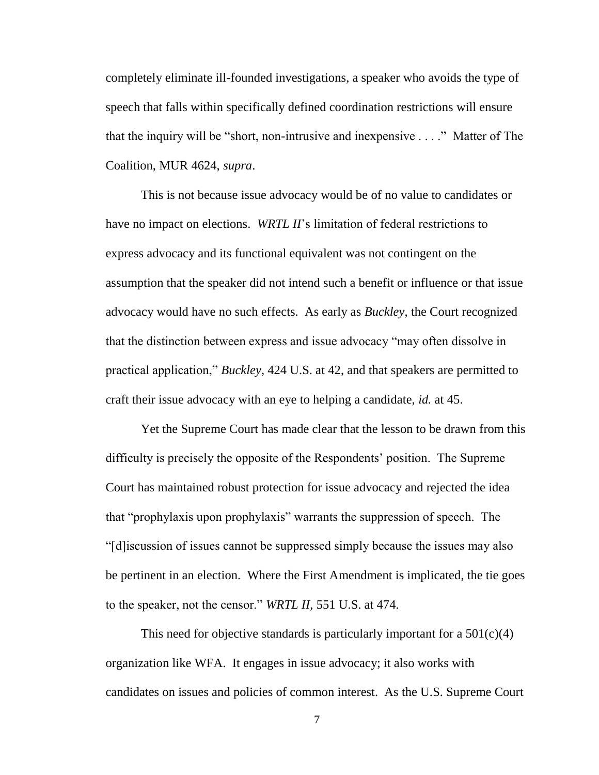completely eliminate ill-founded investigations, a speaker who avoids the type of speech that falls within specifically defined coordination restrictions will ensure that the inquiry will be "short, non-intrusive and inexpensive . . . ." Matter of The Coalition, MUR 4624, *supra*.

This is not because issue advocacy would be of no value to candidates or have no impact on elections. *WRTL II*'s limitation of federal restrictions to express advocacy and its functional equivalent was not contingent on the assumption that the speaker did not intend such a benefit or influence or that issue advocacy would have no such effects. As early as *Buckley*, the Court recognized that the distinction between express and issue advocacy "may often dissolve in practical application," *Buckley*, 424 U.S. at 42, and that speakers are permitted to craft their issue advocacy with an eye to helping a candidate, *id.* at 45.

Yet the Supreme Court has made clear that the lesson to be drawn from this difficulty is precisely the opposite of the Respondents' position. The Supreme Court has maintained robust protection for issue advocacy and rejected the idea that "prophylaxis upon prophylaxis" warrants the suppression of speech. The "[d]iscussion of issues cannot be suppressed simply because the issues may also be pertinent in an election. Where the First Amendment is implicated, the tie goes to the speaker, not the censor." *WRTL II*, 551 U.S. at 474.

This need for objective standards is particularly important for a  $501(c)(4)$ organization like WFA. It engages in issue advocacy; it also works with candidates on issues and policies of common interest. As the U.S. Supreme Court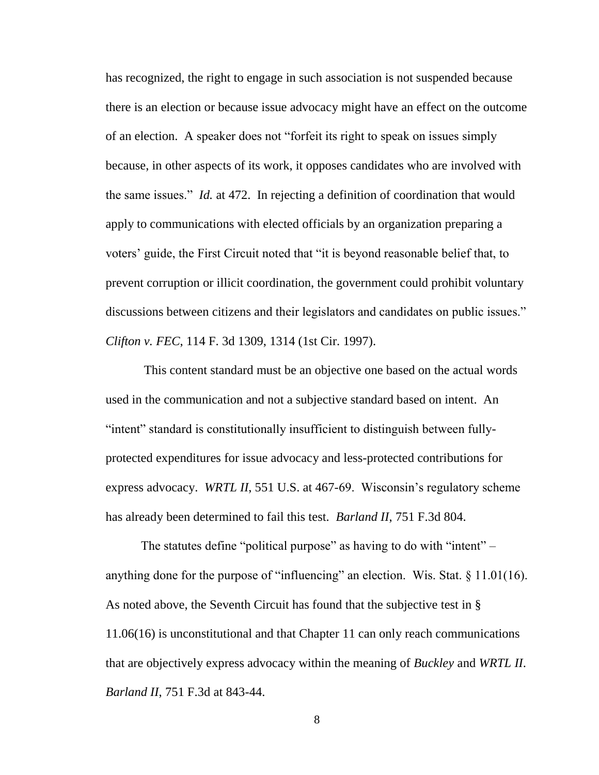has recognized, the right to engage in such association is not suspended because there is an election or because issue advocacy might have an effect on the outcome of an election. A speaker does not "forfeit its right to speak on issues simply because, in other aspects of its work, it opposes candidates who are involved with the same issues." *Id.* at 472. In rejecting a definition of coordination that would apply to communications with elected officials by an organization preparing a voters' guide, the First Circuit noted that "it is beyond reasonable belief that, to prevent corruption or illicit coordination, the government could prohibit voluntary discussions between citizens and their legislators and candidates on public issues." *Clifton v. FEC*, 114 F. 3d 1309, 1314 (1st Cir. 1997).

This content standard must be an objective one based on the actual words used in the communication and not a subjective standard based on intent. An "intent" standard is constitutionally insufficient to distinguish between fullyprotected expenditures for issue advocacy and less-protected contributions for express advocacy. *WRTL II*, 551 U.S. at 467-69. Wisconsin's regulatory scheme has already been determined to fail this test. *Barland II*, 751 F.3d 804.

The statutes define "political purpose" as having to do with "intent" – anything done for the purpose of "influencing" an election. Wis. Stat. § 11.01(16). As noted above, the Seventh Circuit has found that the subjective test in § 11.06(16) is unconstitutional and that Chapter 11 can only reach communications that are objectively express advocacy within the meaning of *Buckley* and *WRTL II*. *Barland II*, 751 F.3d at 843-44.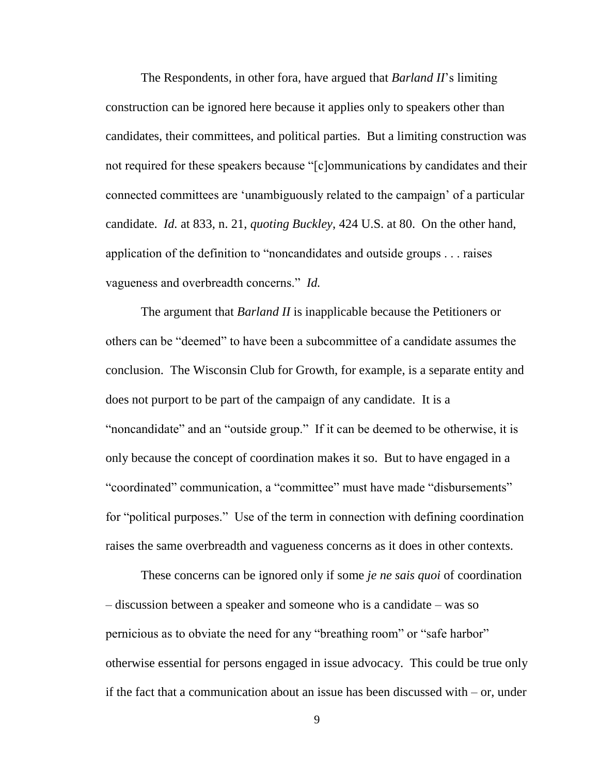The Respondents, in other fora, have argued that *Barland II*'s limiting construction can be ignored here because it applies only to speakers other than candidates, their committees, and political parties. But a limiting construction was not required for these speakers because "[c]ommunications by candidates and their connected committees are 'unambiguously related to the campaign' of a particular candidate. *Id.* at 833, n. 21, *quoting Buckley*, 424 U.S. at 80. On the other hand, application of the definition to "noncandidates and outside groups . . . raises vagueness and overbreadth concerns." *Id.*

The argument that *Barland II* is inapplicable because the Petitioners or others can be "deemed" to have been a subcommittee of a candidate assumes the conclusion. The Wisconsin Club for Growth, for example, is a separate entity and does not purport to be part of the campaign of any candidate. It is a "noncandidate" and an "outside group." If it can be deemed to be otherwise, it is only because the concept of coordination makes it so. But to have engaged in a "coordinated" communication, a "committee" must have made "disbursements" for "political purposes." Use of the term in connection with defining coordination raises the same overbreadth and vagueness concerns as it does in other contexts.

These concerns can be ignored only if some *je ne sais quoi* of coordination – discussion between a speaker and someone who is a candidate – was so pernicious as to obviate the need for any "breathing room" or "safe harbor" otherwise essential for persons engaged in issue advocacy. This could be true only if the fact that a communication about an issue has been discussed with – or, under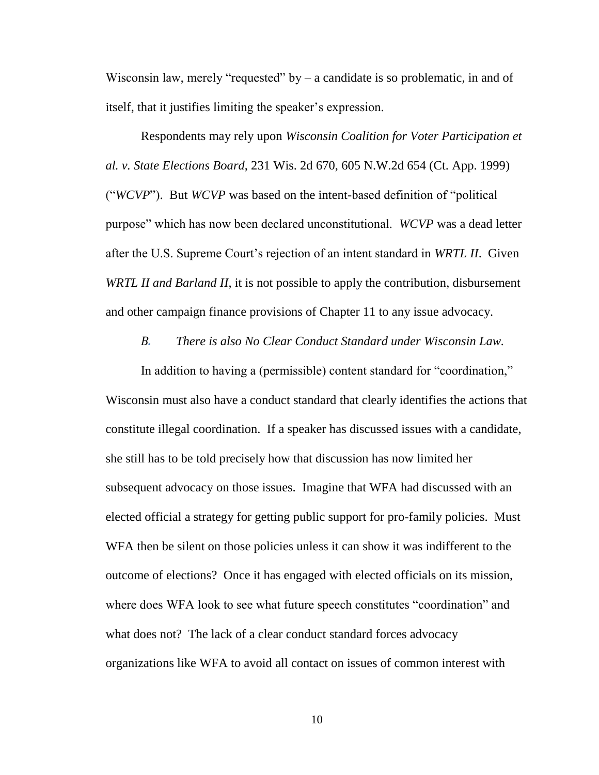Wisconsin law, merely "requested" by  $-$  a candidate is so problematic, in and of itself, that it justifies limiting the speaker's expression.

Respondents may rely upon *Wisconsin Coalition for Voter Participation et al. v. State Elections Board*, 231 Wis. 2d 670, 605 N.W.2d 654 (Ct. App. 1999) ("*WCVP*"). But *WCVP* was based on the intent-based definition of "political purpose" which has now been declared unconstitutional. *WCVP* was a dead letter after the U.S. Supreme Court's rejection of an intent standard in *WRTL II*. Given *WRTL II and Barland II*, it is not possible to apply the contribution, disbursement and other campaign finance provisions of Chapter 11 to any issue advocacy.

*B. There is also No Clear Conduct Standard under Wisconsin Law.*

In addition to having a (permissible) content standard for "coordination," Wisconsin must also have a conduct standard that clearly identifies the actions that constitute illegal coordination. If a speaker has discussed issues with a candidate, she still has to be told precisely how that discussion has now limited her subsequent advocacy on those issues. Imagine that WFA had discussed with an elected official a strategy for getting public support for pro-family policies. Must WFA then be silent on those policies unless it can show it was indifferent to the outcome of elections? Once it has engaged with elected officials on its mission, where does WFA look to see what future speech constitutes "coordination" and what does not? The lack of a clear conduct standard forces advocacy organizations like WFA to avoid all contact on issues of common interest with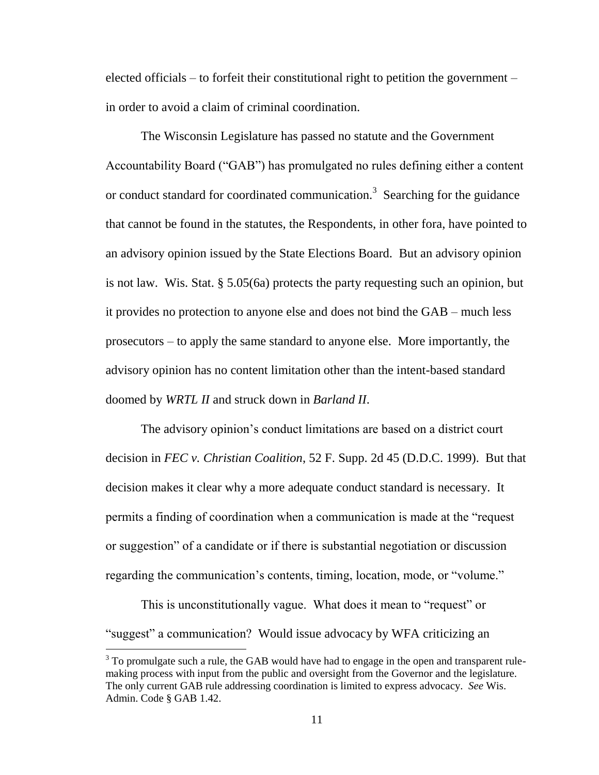elected officials – to forfeit their constitutional right to petition the government – in order to avoid a claim of criminal coordination.

The Wisconsin Legislature has passed no statute and the Government Accountability Board ("GAB") has promulgated no rules defining either a content or conduct standard for coordinated communication.<sup>3</sup> Searching for the guidance that cannot be found in the statutes, the Respondents, in other fora, have pointed to an advisory opinion issued by the State Elections Board. But an advisory opinion is not law. Wis. Stat. § 5.05(6a) protects the party requesting such an opinion, but it provides no protection to anyone else and does not bind the GAB – much less prosecutors – to apply the same standard to anyone else. More importantly, the advisory opinion has no content limitation other than the intent-based standard doomed by *WRTL II* and struck down in *Barland II*.

The advisory opinion's conduct limitations are based on a district court decision in *FEC v. Christian Coalition*, 52 F. Supp. 2d 45 (D.D.C. 1999). But that decision makes it clear why a more adequate conduct standard is necessary. It permits a finding of coordination when a communication is made at the "request or suggestion" of a candidate or if there is substantial negotiation or discussion regarding the communication's contents, timing, location, mode, or "volume."

This is unconstitutionally vague. What does it mean to "request" or "suggest" a communication? Would issue advocacy by WFA criticizing an

 $\overline{a}$ 

 $3$  To promulgate such a rule, the GAB would have had to engage in the open and transparent rulemaking process with input from the public and oversight from the Governor and the legislature. The only current GAB rule addressing coordination is limited to express advocacy. *See* Wis. Admin. Code § GAB 1.42.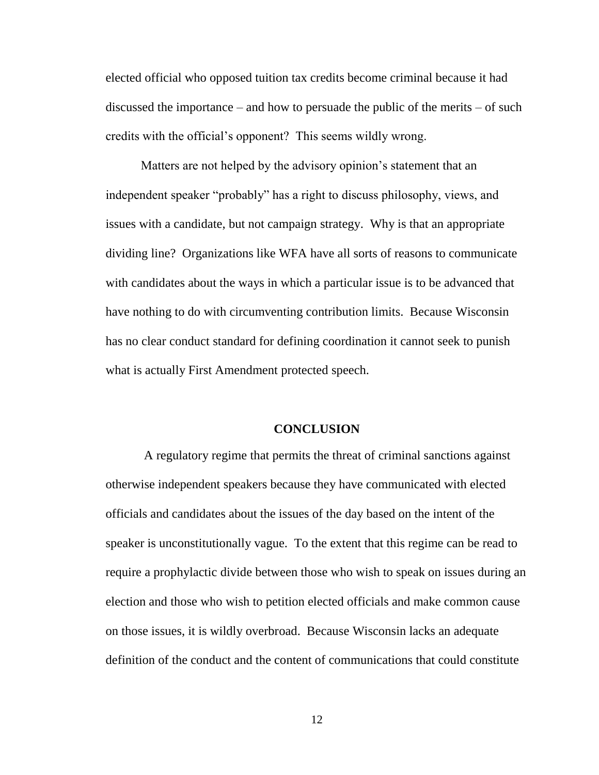elected official who opposed tuition tax credits become criminal because it had discussed the importance – and how to persuade the public of the merits – of such credits with the official's opponent? This seems wildly wrong.

Matters are not helped by the advisory opinion's statement that an independent speaker "probably" has a right to discuss philosophy, views, and issues with a candidate, but not campaign strategy. Why is that an appropriate dividing line? Organizations like WFA have all sorts of reasons to communicate with candidates about the ways in which a particular issue is to be advanced that have nothing to do with circumventing contribution limits. Because Wisconsin has no clear conduct standard for defining coordination it cannot seek to punish what is actually First Amendment protected speech.

#### **CONCLUSION**

A regulatory regime that permits the threat of criminal sanctions against otherwise independent speakers because they have communicated with elected officials and candidates about the issues of the day based on the intent of the speaker is unconstitutionally vague. To the extent that this regime can be read to require a prophylactic divide between those who wish to speak on issues during an election and those who wish to petition elected officials and make common cause on those issues, it is wildly overbroad. Because Wisconsin lacks an adequate definition of the conduct and the content of communications that could constitute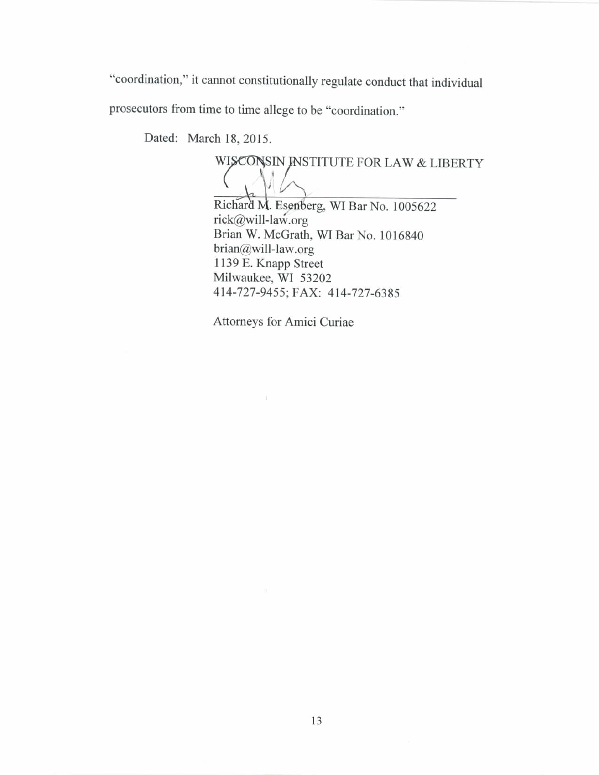"coordination," it cannot constitutionally regulate conduct that individual

prosecutors from time to time allege to be "coordination."

Dated: March 18, 2015.

WISCONSIN INSTITUTE FOR LAW & LIBERTY

Richard M. Esenberg, WI Bar No. 1005622 rick@will-law.org Brian W. McGrath, WI Bar No. 1016840 brian@will-law.org 1139 E. Knapp Street Milwaukee, WI 53202 414-727-9455; FAX: 414-727-6385

Attorneys for Amici Curiae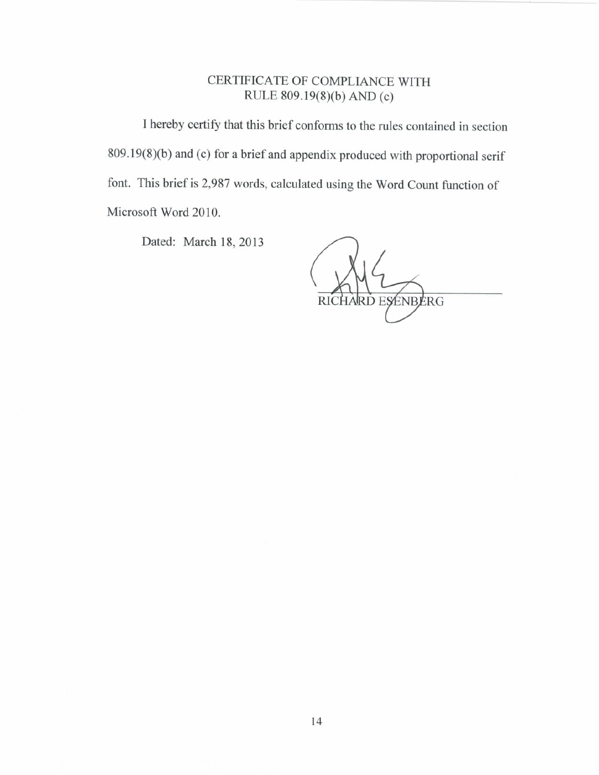# CERTIFICATE OF COMPLIANCE WITH RULE 809.19(8)(b) AND (c)

I hereby certify that this brief conforms to the rules contained in section 809.19(8)(b) and (c) for a brief and appendix produced with proportional serif font. This brief is 2,987 words, calculated using the Word Count function of Microsoft Word 2010.

Dated: March 18, 2013

RICHARD ESENBERG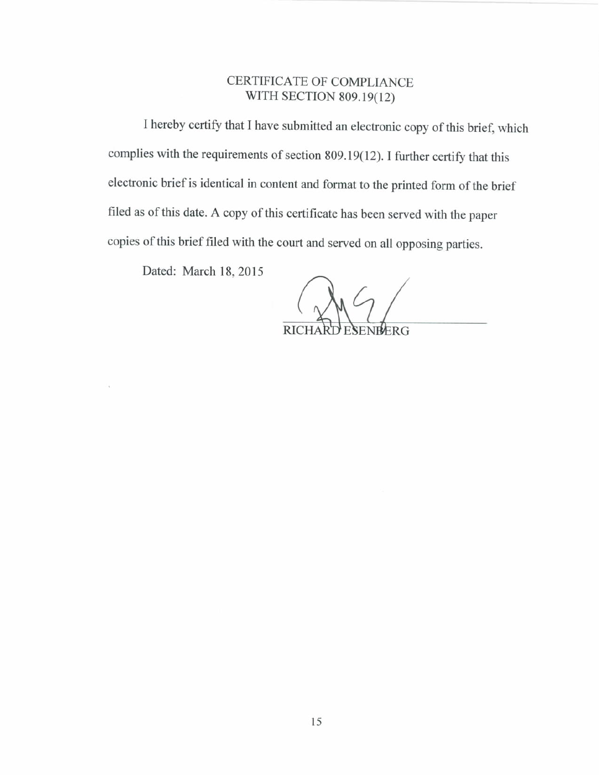## CERTIFICATE OF COMPLIANCE WITH SECTION 809.19(12)

I hereby certify that I have submitted an electronic copy of this brief, which complies with the requirements of section 809.19(12). I further certify that this electronic brief is identical in content and format to the printed form of the brief filed as of this date. A copy of this certificate has been served with the paper copies of this brief filed with the court and served on all opposing parties.

Dated: March 18, 2015